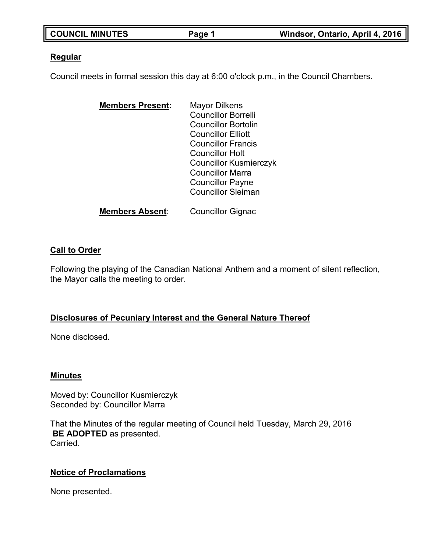| <b>COUNCIL MINUTES</b> | Page 1 | Windsor, Ontario, April 4, 2016 |
|------------------------|--------|---------------------------------|

### **Regular**

Council meets in formal session this day at 6:00 o'clock p.m., in the Council Chambers.

| <b>Members Present:</b> | <b>Mayor Dilkens</b>          |
|-------------------------|-------------------------------|
|                         | <b>Councillor Borrelli</b>    |
|                         | <b>Councillor Bortolin</b>    |
|                         | <b>Councillor Elliott</b>     |
|                         | <b>Councillor Francis</b>     |
|                         | <b>Councillor Holt</b>        |
|                         | <b>Councillor Kusmierczyk</b> |
|                         | <b>Councillor Marra</b>       |
|                         | <b>Councillor Payne</b>       |
|                         | <b>Councillor Sleiman</b>     |
|                         |                               |

**Members Absent**: Councillor Gignac

## **Call to Order**

Following the playing of the Canadian National Anthem and a moment of silent reflection, the Mayor calls the meeting to order.

## **Disclosures of Pecuniary Interest and the General Nature Thereof**

None disclosed.

### **Minutes**

Moved by: Councillor Kusmierczyk Seconded by: Councillor Marra

That the Minutes of the regular meeting of Council held Tuesday, March 29, 2016 **BE ADOPTED** as presented. Carried.

## **Notice of Proclamations**

None presented.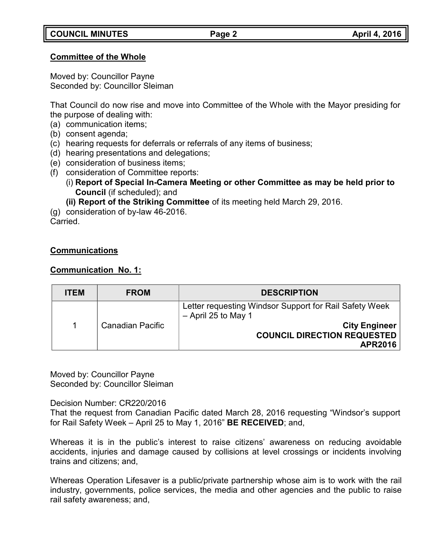## **Committee of the Whole**

Moved by: Councillor Payne Seconded by: Councillor Sleiman

That Council do now rise and move into Committee of the Whole with the Mayor presiding for the purpose of dealing with:

(a) communication items;

- (b) consent agenda;
- (c) hearing requests for deferrals or referrals of any items of business;
- (d) hearing presentations and delegations;
- (e) consideration of business items;
- (f) consideration of Committee reports:
	- (i) **Report of Special In-Camera Meeting or other Committee as may be held prior to Council** (if scheduled); and
	- **(ii) Report of the Striking Committee** of its meeting held March 29, 2016.

(g) consideration of by-law 46-2016. Carried.

## **Communications**

## **Communication No. 1:**

| <b>ITEM</b> | <b>FROM</b>             | <b>DESCRIPTION</b>                                                              |
|-------------|-------------------------|---------------------------------------------------------------------------------|
|             | <b>Canadian Pacific</b> | Letter requesting Windsor Support for Rail Safety Week<br>$-$ April 25 to May 1 |
|             |                         | <b>City Engineer</b><br><b>COUNCIL DIRECTION REQUESTED</b><br><b>APR2016</b>    |

Moved by: Councillor Payne Seconded by: Councillor Sleiman

Decision Number: CR220/2016

That the request from Canadian Pacific dated March 28, 2016 requesting "Windsor's support for Rail Safety Week – April 25 to May 1, 2016" **BE RECEIVED**; and,

Whereas it is in the public's interest to raise citizens' awareness on reducing avoidable accidents, injuries and damage caused by collisions at level crossings or incidents involving trains and citizens; and,

Whereas Operation Lifesaver is a public/private partnership whose aim is to work with the rail industry, governments, police services, the media and other agencies and the public to raise rail safety awareness; and,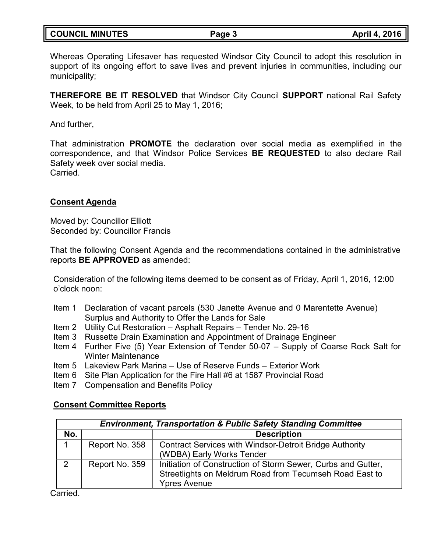Whereas Operating Lifesaver has requested Windsor City Council to adopt this resolution in support of its ongoing effort to save lives and prevent injuries in communities, including our municipality;

**THEREFORE BE IT RESOLVED** that Windsor City Council **SUPPORT** national Rail Safety Week, to be held from April 25 to May 1, 2016;

And further,

That administration **PROMOTE** the declaration over social media as exemplified in the correspondence, and that Windsor Police Services **BE REQUESTED** to also declare Rail Safety week over social media. Carried.

**Consent Agenda**

Moved by: Councillor Elliott Seconded by: Councillor Francis

That the following Consent Agenda and the recommendations contained in the administrative reports **BE APPROVED** as amended:

Consideration of the following items deemed to be consent as of Friday, April 1, 2016, 12:00 o'clock noon:

- Item 1 Declaration of vacant parcels (530 Janette Avenue and 0 Marentette Avenue) Surplus and Authority to Offer the Lands for Sale
- Item 2 Utility Cut Restoration Asphalt Repairs Tender No. 29-16
- Item 3 Russette Drain Examination and Appointment of Drainage Engineer
- Item 4 Further Five (5) Year Extension of Tender 50-07 Supply of Coarse Rock Salt for Winter Maintenance
- Item 5 Lakeview Park Marina Use of Reserve Funds Exterior Work
- Item 6 Site Plan Application for the Fire Hall #6 at 1587 Provincial Road
- Item 7 Compensation and Benefits Policy

## **Consent Committee Reports**

| <b>Environment, Transportation &amp; Public Safety Standing Committee</b> |                |                                                                                                                                                |
|---------------------------------------------------------------------------|----------------|------------------------------------------------------------------------------------------------------------------------------------------------|
| No.                                                                       |                | <b>Description</b>                                                                                                                             |
|                                                                           | Report No. 358 | <b>Contract Services with Windsor-Detroit Bridge Authority</b><br>(WDBA) Early Works Tender                                                    |
| 2                                                                         | Report No. 359 | Initiation of Construction of Storm Sewer, Curbs and Gutter,<br>Streetlights on Meldrum Road from Tecumseh Road East to<br><b>Ypres Avenue</b> |

Carried.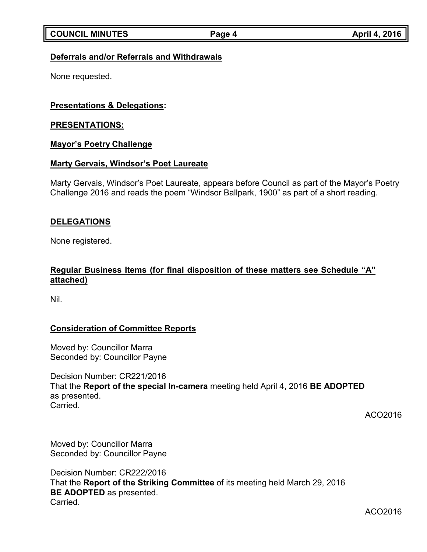## **Deferrals and/or Referrals and Withdrawals**

None requested.

## **Presentations & Delegations:**

### **PRESENTATIONS:**

### **Mayor's Poetry Challenge**

### **Marty Gervais, Windsor's Poet Laureate**

Marty Gervais, Windsor's Poet Laureate, appears before Council as part of the Mayor's Poetry Challenge 2016 and reads the poem "Windsor Ballpark, 1900" as part of a short reading.

### **DELEGATIONS**

None registered.

## **Regular Business Items (for final disposition of these matters see Schedule "A" attached)**

Nil.

## **Consideration of Committee Reports**

Moved by: Councillor Marra Seconded by: Councillor Payne

Decision Number: CR221/2016 That the **Report of the special In-camera** meeting held April 4, 2016 **BE ADOPTED** as presented. Carried.

ACO2016

Moved by: Councillor Marra Seconded by: Councillor Payne

Decision Number: CR222/2016 That the **Report of the Striking Committee** of its meeting held March 29, 2016 **BE ADOPTED** as presented. Carried.

ACO2016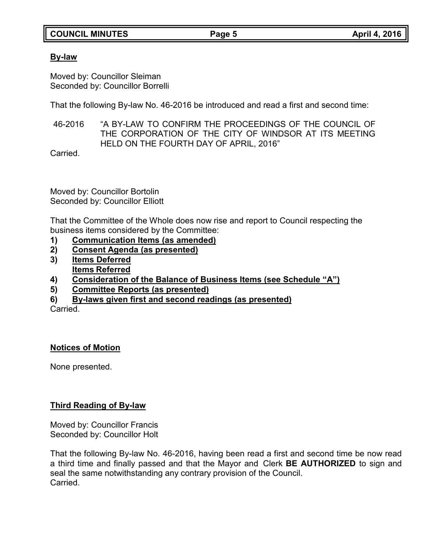## **COUNCIL MINUTES Page 5 April 4, 2016**

## **By-law**

Moved by: Councillor Sleiman Seconded by: Councillor Borrelli

That the following By-law No. 46-2016 be introduced and read a first and second time:

46-2016 "A BY-LAW TO CONFIRM THE PROCEEDINGS OF THE COUNCIL OF THE CORPORATION OF THE CITY OF WINDSOR AT ITS MEETING HELD ON THE FOURTH DAY OF APRIL, 2016"

Carried.

Moved by: Councillor Bortolin Seconded by: Councillor Elliott

That the Committee of the Whole does now rise and report to Council respecting the business items considered by the Committee:

- **1) Communication Items (as amended)**
- **2) Consent Agenda (as presented)**
- **3) Items Deferred Items Referred**
- **4) Consideration of the Balance of Business Items (see Schedule "A")**
- **5) Committee Reports (as presented)**
- **6) By-laws given first and second readings (as presented)**

**Carried** 

# **Notices of Motion**

None presented.

# **Third Reading of By-law**

Moved by: Councillor Francis Seconded by: Councillor Holt

That the following By-law No. 46-2016, having been read a first and second time be now read a third time and finally passed and that the Mayor and Clerk **BE AUTHORIZED** to sign and seal the same notwithstanding any contrary provision of the Council. Carried.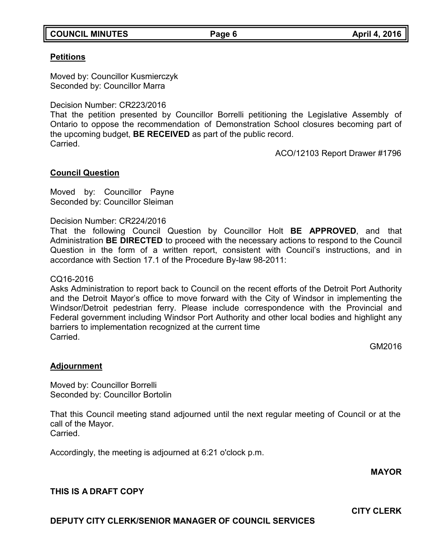### **COUNCIL MINUTES Page 6 April 4, 2016**

### **Petitions**

Moved by: Councillor Kusmierczyk Seconded by: Councillor Marra

Decision Number: CR223/2016

That the petition presented by Councillor Borrelli petitioning the Legislative Assembly of Ontario to oppose the recommendation of Demonstration School closures becoming part of the upcoming budget, **BE RECEIVED** as part of the public record. **Carried** 

ACO/12103 Report Drawer #1796

### **Council Question**

Moved by: Councillor Payne Seconded by: Councillor Sleiman

Decision Number: CR224/2016

That the following Council Question by Councillor Holt **BE APPROVED**, and that Administration **BE DIRECTED** to proceed with the necessary actions to respond to the Council Question in the form of a written report, consistent with Council's instructions, and in accordance with Section 17.1 of the Procedure By-law 98-2011:

### CQ16-2016

Asks Administration to report back to Council on the recent efforts of the Detroit Port Authority and the Detroit Mayor's office to move forward with the City of Windsor in implementing the Windsor/Detroit pedestrian ferry. Please include correspondence with the Provincial and Federal government including Windsor Port Authority and other local bodies and highlight any barriers to implementation recognized at the current time Carried.

GM2016

### **Adjournment**

Moved by: Councillor Borrelli Seconded by: Councillor Bortolin

That this Council meeting stand adjourned until the next regular meeting of Council or at the call of the Mayor. Carried.

Accordingly, the meeting is adjourned at 6:21 o'clock p.m.

**MAYOR**

## **THIS IS A DRAFT COPY**

**DEPUTY CITY CLERK/SENIOR MANAGER OF COUNCIL SERVICES**

**CITY CLERK**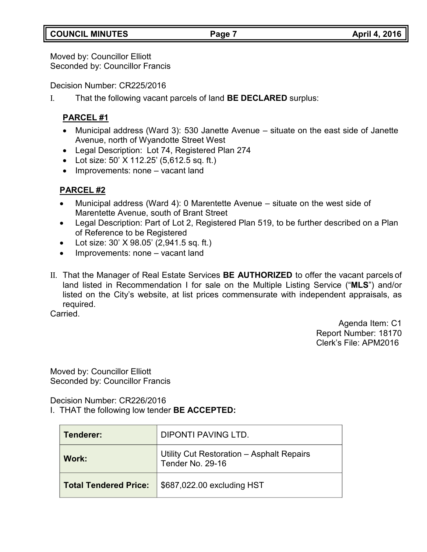# **COUNCIL MINUTES Page 7 April 4, 2016**

Moved by: Councillor Elliott Seconded by: Councillor Francis

Decision Number: CR225/2016

I. That the following vacant parcels of land **BE DECLARED** surplus:

# **PARCEL #1**

- Municipal address (Ward 3): 530 Janette Avenue situate on the east side of Janette Avenue, north of Wyandotte Street West
- Legal Description: Lot 74, Registered Plan 274
- Lot size: 50' X 112.25' (5,612.5 sq. ft.)
- Improvements: none vacant land

# **PARCEL #2**

- Municipal address (Ward 4): 0 Marentette Avenue situate on the west side of Marentette Avenue, south of Brant Street
- Legal Description: Part of Lot 2, Registered Plan 519, to be further described on a Plan of Reference to be Registered
- Lot size: 30' X 98.05' (2,941.5 sq. ft.)
- Improvements: none vacant land
- II. That the Manager of Real Estate Services **BE AUTHORIZED** to offer the vacant parcels of land listed in Recommendation I for sale on the Multiple Listing Service ("**MLS**") and/or listed on the City's website, at list prices commensurate with independent appraisals, as required.

Carried.

Agenda Item: C1 Report Number: 18170 Clerk's File: APM2016

Moved by: Councillor Elliott Seconded by: Councillor Francis

Decision Number: CR226/2016

I. THAT the following low tender **BE ACCEPTED:**

| Tenderer:                    | DIPONTI PAVING LTD.                                           |
|------------------------------|---------------------------------------------------------------|
| Work:                        | Utility Cut Restoration - Asphalt Repairs<br>Tender No. 29-16 |
| <b>Total Tendered Price:</b> | \$687,022.00 excluding HST                                    |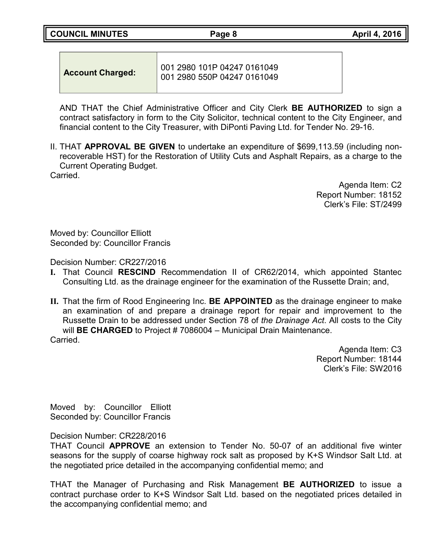**COUNCIL MINUTES Page 8 April 4, 2016**

| 001 2980 101P 04247 0161049<br><b>Account Charged:</b><br>1001 2980 550P 04247 0161049 |  |
|----------------------------------------------------------------------------------------|--|
|----------------------------------------------------------------------------------------|--|

AND THAT the Chief Administrative Officer and City Clerk **BE AUTHORIZED** to sign a contract satisfactory in form to the City Solicitor, technical content to the City Engineer, and financial content to the City Treasurer, with DiPonti Paving Ltd. for Tender No. 29-16.

II. THAT **APPROVAL BE GIVEN** to undertake an expenditure of \$699,113.59 (including nonrecoverable HST) for the Restoration of Utility Cuts and Asphalt Repairs, as a charge to the Current Operating Budget.

Carried.

Agenda Item: C2 Report Number: 18152 Clerk's File: ST/2499

Moved by: Councillor Elliott Seconded by: Councillor Francis

Decision Number: CR227/2016

- **I.** That Council **RESCIND** Recommendation II of CR62/2014, which appointed Stantec Consulting Ltd. as the drainage engineer for the examination of the Russette Drain; and,
- **II.** That the firm of Rood Engineering Inc. **BE APPOINTED** as the drainage engineer to make an examination of and prepare a drainage report for repair and improvement to the Russette Drain to be addressed under Section 78 of *the Drainage Act*. All costs to the City will **BE CHARGED** to Project # 7086004 – Municipal Drain Maintenance. Carried.

Agenda Item: C3 Report Number: 18144 Clerk's File: SW2016

Moved by: Councillor Elliott Seconded by: Councillor Francis

Decision Number: CR228/2016

THAT Council **APPROVE** an extension to Tender No. 50-07 of an additional five winter seasons for the supply of coarse highway rock salt as proposed by K+S Windsor Salt Ltd. at the negotiated price detailed in the accompanying confidential memo; and

THAT the Manager of Purchasing and Risk Management **BE AUTHORIZED** to issue a contract purchase order to K+S Windsor Salt Ltd. based on the negotiated prices detailed in the accompanying confidential memo; and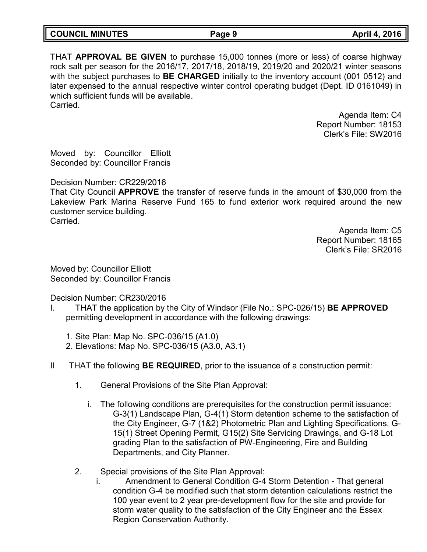| <b>COUNCIL MINUTES</b> | Page 9 | April 4, 2016 |
|------------------------|--------|---------------|

THAT **APPROVAL BE GIVEN** to purchase 15,000 tonnes (more or less) of coarse highway rock salt per season for the 2016/17, 2017/18, 2018/19, 2019/20 and 2020/21 winter seasons with the subject purchases to **BE CHARGED** initially to the inventory account (001 0512) and later expensed to the annual respective winter control operating budget (Dept. ID 0161049) in which sufficient funds will be available. **Carried** 

> Agenda Item: C4 Report Number: 18153 Clerk's File: SW2016

Moved by: Councillor Elliott Seconded by: Councillor Francis

Decision Number: CR229/2016

That City Council **APPROVE** the transfer of reserve funds in the amount of \$30,000 from the Lakeview Park Marina Reserve Fund 165 to fund exterior work required around the new customer service building. Carried.

> Agenda Item: C5 Report Number: 18165 Clerk's File: SR2016

Moved by: Councillor Elliott Seconded by: Councillor Francis

Decision Number: CR230/2016

- I. THAT the application by the City of Windsor (File No.: SPC-026/15) **BE APPROVED** permitting development in accordance with the following drawings:
	- 1. Site Plan: Map No. SPC-036/15 (A1.0)
	- 2. Elevations: Map No. SPC-036/15 (A3.0, A3.1)
- II THAT the following **BE REQUIRED**, prior to the issuance of a construction permit:
	- 1. General Provisions of the Site Plan Approval:
		- i. The following conditions are prerequisites for the construction permit issuance: G-3(1) Landscape Plan, G-4(1) Storm detention scheme to the satisfaction of the City Engineer, G-7 (1&2) Photometric Plan and Lighting Specifications, G-15(1) Street Opening Permit, G15(2) Site Servicing Drawings, and G-18 Lot grading Plan to the satisfaction of PW-Engineering, Fire and Building Departments, and City Planner.
	- 2. Special provisions of the Site Plan Approval:
		- i. Amendment to General Condition G-4 Storm Detention That general condition G-4 be modified such that storm detention calculations restrict the 100 year event to 2 year pre-development flow for the site and provide for storm water quality to the satisfaction of the City Engineer and the Essex Region Conservation Authority.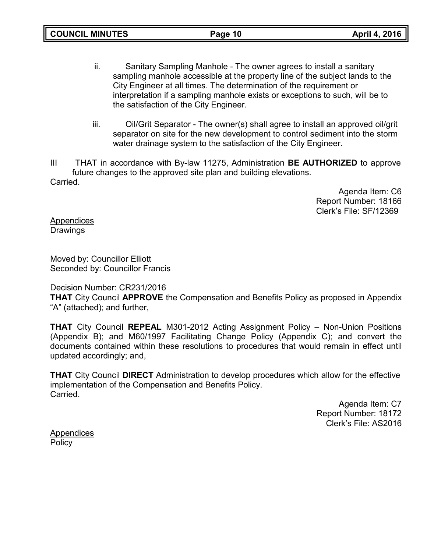- ii. Sanitary Sampling Manhole The owner agrees to install a sanitary sampling manhole accessible at the property line of the subject lands to the City Engineer at all times. The determination of the requirement or interpretation if a sampling manhole exists or exceptions to such, will be to the satisfaction of the City Engineer.
- iii. Oil/Grit Separator The owner(s) shall agree to install an approved oil/grit separator on site for the new development to control sediment into the storm water drainage system to the satisfaction of the City Engineer.

III THAT in accordance with By-law 11275, Administration **BE AUTHORIZED** to approve future changes to the approved site plan and building elevations. Carried.

> Agenda Item: C6 Report Number: 18166 Clerk's File: SF/12369

Appendices **Drawings** 

Moved by: Councillor Elliott Seconded by: Councillor Francis

Decision Number: CR231/2016

**THAT** City Council **APPROVE** the Compensation and Benefits Policy as proposed in Appendix "A" (attached); and further,

**THAT** City Council **REPEAL** M301-2012 Acting Assignment Policy – Non-Union Positions (Appendix B); and M60/1997 Facilitating Change Policy (Appendix C); and convert the documents contained within these resolutions to procedures that would remain in effect until updated accordingly; and,

**THAT** City Council **DIRECT** Administration to develop procedures which allow for the effective implementation of the Compensation and Benefits Policy. Carried.

> Agenda Item: C7 Report Number: 18172 Clerk's File: AS2016

**Appendices Policy**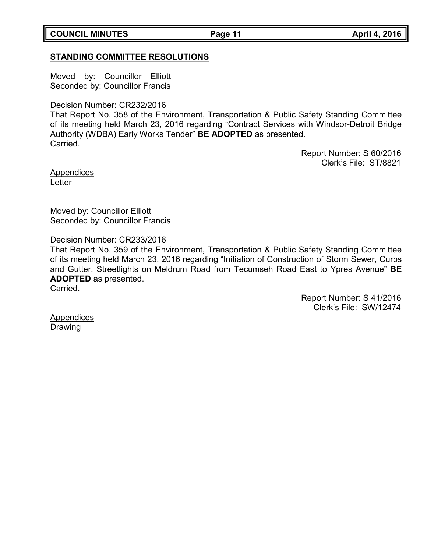**COUNCIL MINUTES Page 11 April 4, 2016**

## **STANDING COMMITTEE RESOLUTIONS**

Moved by: Councillor Elliott Seconded by: Councillor Francis

Decision Number: CR232/2016

That Report No. 358 of the Environment, Transportation & Public Safety Standing Committee of its meeting held March 23, 2016 regarding "Contract Services with Windsor-Detroit Bridge Authority (WDBA) Early Works Tender" **BE ADOPTED** as presented. Carried.

> Report Number: S 60/2016 Clerk's File: ST/8821

**Appendices Letter** 

Moved by: Councillor Elliott Seconded by: Councillor Francis

Decision Number: CR233/2016

That Report No. 359 of the Environment, Transportation & Public Safety Standing Committee of its meeting held March 23, 2016 regarding "Initiation of Construction of Storm Sewer, Curbs and Gutter, Streetlights on Meldrum Road from Tecumseh Road East to Ypres Avenue" **BE ADOPTED** as presented.

Carried.

Report Number: S 41/2016 Clerk's File: SW/12474

**Appendices** Drawing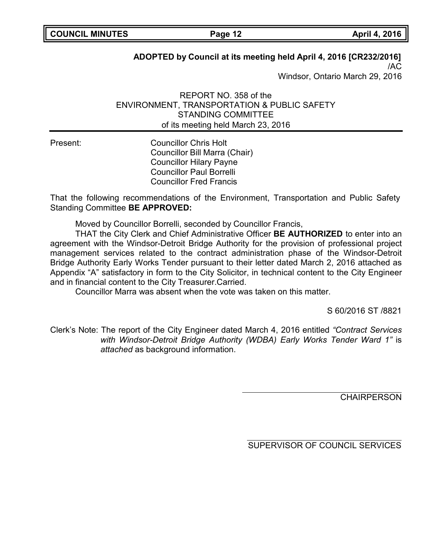# **ADOPTED by Council at its meeting held April 4, 2016 [CR232/2016]**

/AC Windsor, Ontario March 29, 2016

REPORT NO. 358 of the ENVIRONMENT, TRANSPORTATION & PUBLIC SAFETY STANDING COMMITTEE of its meeting held March 23, 2016

Present: Councillor Chris Holt Councillor Bill Marra (Chair) Councillor Hilary Payne Councillor Paul Borrelli Councillor Fred Francis

That the following recommendations of the Environment, Transportation and Public Safety Standing Committee **BE APPROVED:**

Moved by Councillor Borrelli, seconded by Councillor Francis,

THAT the City Clerk and Chief Administrative Officer **BE AUTHORIZED** to enter into an agreement with the Windsor-Detroit Bridge Authority for the provision of professional project management services related to the contract administration phase of the Windsor-Detroit Bridge Authority Early Works Tender pursuant to their letter dated March 2, 2016 attached as Appendix "A" satisfactory in form to the City Solicitor, in technical content to the City Engineer and in financial content to the City Treasurer.Carried.

Councillor Marra was absent when the vote was taken on this matter.

S 60/2016 ST /8821

Clerk's Note: The report of the City Engineer dated March 4, 2016 entitled *"Contract Services with Windsor-Detroit Bridge Authority (WDBA) Early Works Tender Ward 1"* is *attached* as background information.

**CHAIRPERSON** 

SUPERVISOR OF COUNCIL SERVICES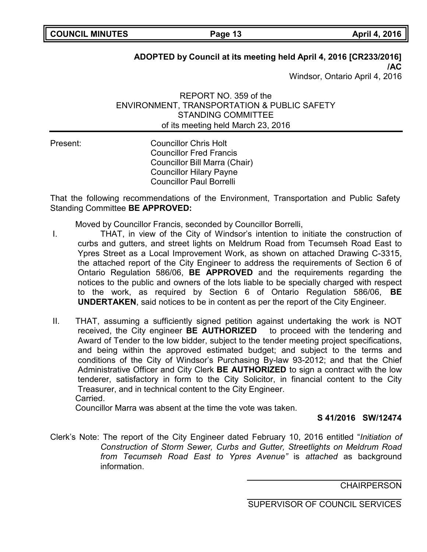# **ADOPTED by Council at its meeting held April 4, 2016 [CR233/2016]**

**/AC** Windsor, Ontario April 4, 2016

## REPORT NO. 359 of the ENVIRONMENT, TRANSPORTATION & PUBLIC SAFETY STANDING COMMITTEE of its meeting held March 23, 2016

Present: Councillor Chris Holt Councillor Fred Francis Councillor Bill Marra (Chair) Councillor Hilary Payne Councillor Paul Borrelli

That the following recommendations of the Environment, Transportation and Public Safety Standing Committee **BE APPROVED:**

Moved by Councillor Francis, seconded by Councillor Borrelli,

- I. THAT, in view of the City of Windsor's intention to initiate the construction of curbs and gutters, and street lights on Meldrum Road from Tecumseh Road East to Ypres Street as a Local Improvement Work, as shown on attached Drawing C-3315, the attached report of the City Engineer to address the requirements of Section 6 of Ontario Regulation 586/06, **BE APPROVED** and the requirements regarding the notices to the public and owners of the lots liable to be specially charged with respect to the work, as required by Section 6 of Ontario Regulation 586/06, **BE UNDERTAKEN**, said notices to be in content as per the report of the City Engineer.
- II. THAT, assuming a sufficiently signed petition against undertaking the work is NOT received, the City engineer **BE AUTHORIZED** to proceed with the tendering and Award of Tender to the low bidder, subject to the tender meeting project specifications, and being within the approved estimated budget; and subject to the terms and conditions of the City of Windsor's Purchasing By-law 93-2012; and that the Chief Administrative Officer and City Clerk **BE AUTHORIZED** to sign a contract with the low tenderer, satisfactory in form to the City Solicitor, in financial content to the City Treasurer, and in technical content to the City Engineer. Carried.

Councillor Marra was absent at the time the vote was taken.

## **S 41/2016 SW/12474**

Clerk's Note: The report of the City Engineer dated February 10, 2016 entitled "*Initiation of Construction of Storm Sewer, Curbs and Gutter, Streetlights on Meldrum Road from Tecumseh Road East to Ypres Avenue"* is *attached* as background information.

**CHAIRPERSON** 

SUPERVISOR OF COUNCIL SERVICES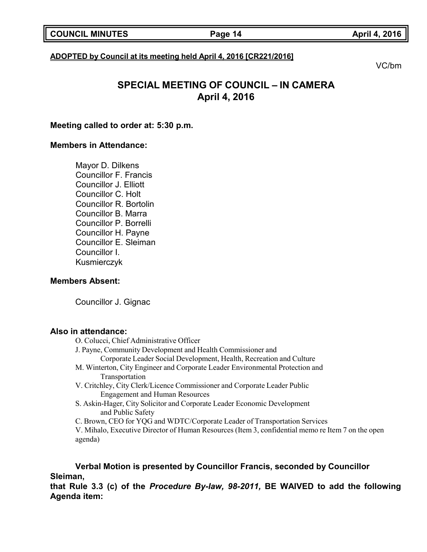### **ADOPTED by Council at its meeting held April 4, 2016 [CR221/2016]**

VC/bm

# **SPECIAL MEETING OF COUNCIL – IN CAMERA April 4, 2016**

### **Meeting called to order at: 5:30 p.m.**

### **Members in Attendance:**

Mayor D. Dilkens Councillor F. Francis Councillor J. Elliott Councillor C. Holt Councillor R. Bortolin Councillor B. Marra Councillor P. Borrelli Councillor H. Payne Councillor E. Sleiman Councillor I. Kusmierczyk

### **Members Absent:**

Councillor J. Gignac

### **Also in attendance:**

O. Colucci, Chief Administrative Officer J. Payne, Community Development and Health Commissioner and

- Corporate Leader Social Development, Health, Recreation and Culture
- M. Winterton, City Engineer and Corporate Leader Environmental Protection and Transportation
- V. Critchley, City Clerk/Licence Commissioner and Corporate Leader Public Engagement and Human Resources
- S. Askin-Hager, City Solicitor and Corporate Leader Economic Development and Public Safety
- C. Brown, CEO for YQG and WDTC/Corporate Leader of Transportation Services

V. Mihalo, Executive Director of Human Resources (Item 3, confidential memo re Item 7 on the open agenda)

**Verbal Motion is presented by Councillor Francis, seconded by Councillor Sleiman,**

**that Rule 3.3 (c) of the** *Procedure By-law, 98-2011,* **BE WAIVED to add the following Agenda item:**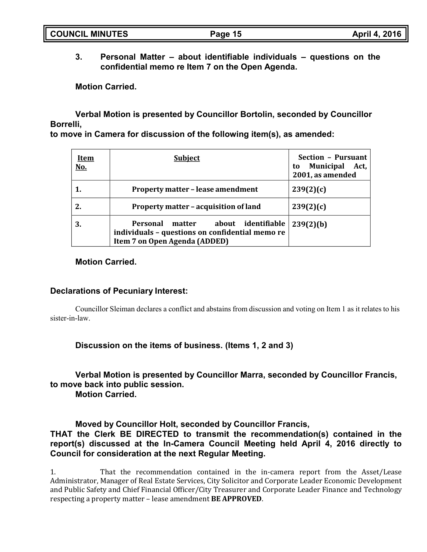**3. Personal Matter – about identifiable individuals – questions on the confidential memo re Item 7 on the Open Agenda.**

**Motion Carried.**

**Verbal Motion is presented by Councillor Bortolin, seconded by Councillor Borrelli,**

**to move in Camera for discussion of the following item(s), as amended:**

| <u>Item</u><br><u>No.</u> | <b>Subject</b>                                                                                                            | Section - Pursuant<br>Municipal<br>Act,<br>to<br>2001, as amended |
|---------------------------|---------------------------------------------------------------------------------------------------------------------------|-------------------------------------------------------------------|
|                           | <b>Property matter - lease amendment</b>                                                                                  | 239(2)(c)                                                         |
| 2.                        | Property matter - acquisition of land                                                                                     | 239(2)(c)                                                         |
| 3.                        | about identifiable<br>Personal matter<br>individuals - questions on confidential memo re<br>Item 7 on Open Agenda (ADDED) | 239(2)(b)                                                         |

## **Motion Carried.**

## **Declarations of Pecuniary Interest:**

Councillor Sleiman declares a conflict and abstains from discussion and voting on Item 1 as it relates to his sister-in-law.

**Discussion on the items of business. (Items 1, 2 and 3)**

**Verbal Motion is presented by Councillor Marra, seconded by Councillor Francis, to move back into public session.**

**Motion Carried.**

**Moved by Councillor Holt, seconded by Councillor Francis,**

**THAT the Clerk BE DIRECTED to transmit the recommendation(s) contained in the report(s) discussed at the In-Camera Council Meeting held April 4, 2016 directly to Council for consideration at the next Regular Meeting.**

1. That the recommendation contained in the in-camera report from the Asset/Lease Administrator, Manager of Real Estate Services, City Solicitor and Corporate Leader Economic Development and Public Safety and Chief Financial Officer/City Treasurer and Corporate Leader Finance and Technology respecting a property matter – lease amendment **BE APPROVED**.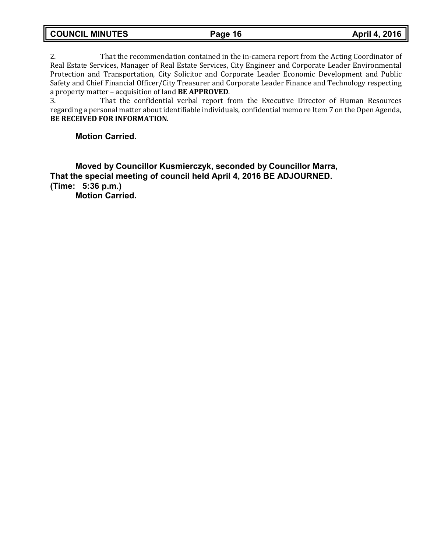2. That the recommendation contained in the in-camera report from the Acting Coordinator of Real Estate Services, Manager of Real Estate Services, City Engineer and Corporate Leader Environmental Protection and Transportation, City Solicitor and Corporate Leader Economic Development and Public Safety and Chief Financial Officer/City Treasurer and Corporate Leader Finance and Technology respecting a property matter – acquisition of land **BE APPROVED**.

3. That the confidential verbal report from the Executive Director of Human Resources regarding a personal matter about identifiable individuals, confidential memo re Item 7 on the Open Agenda, **BE RECEIVED FOR INFORMATION**.

### **Motion Carried.**

**Moved by Councillor Kusmierczyk, seconded by Councillor Marra, That the special meeting of council held April 4, 2016 BE ADJOURNED. (Time: 5:36 p.m.)**

**Motion Carried.**